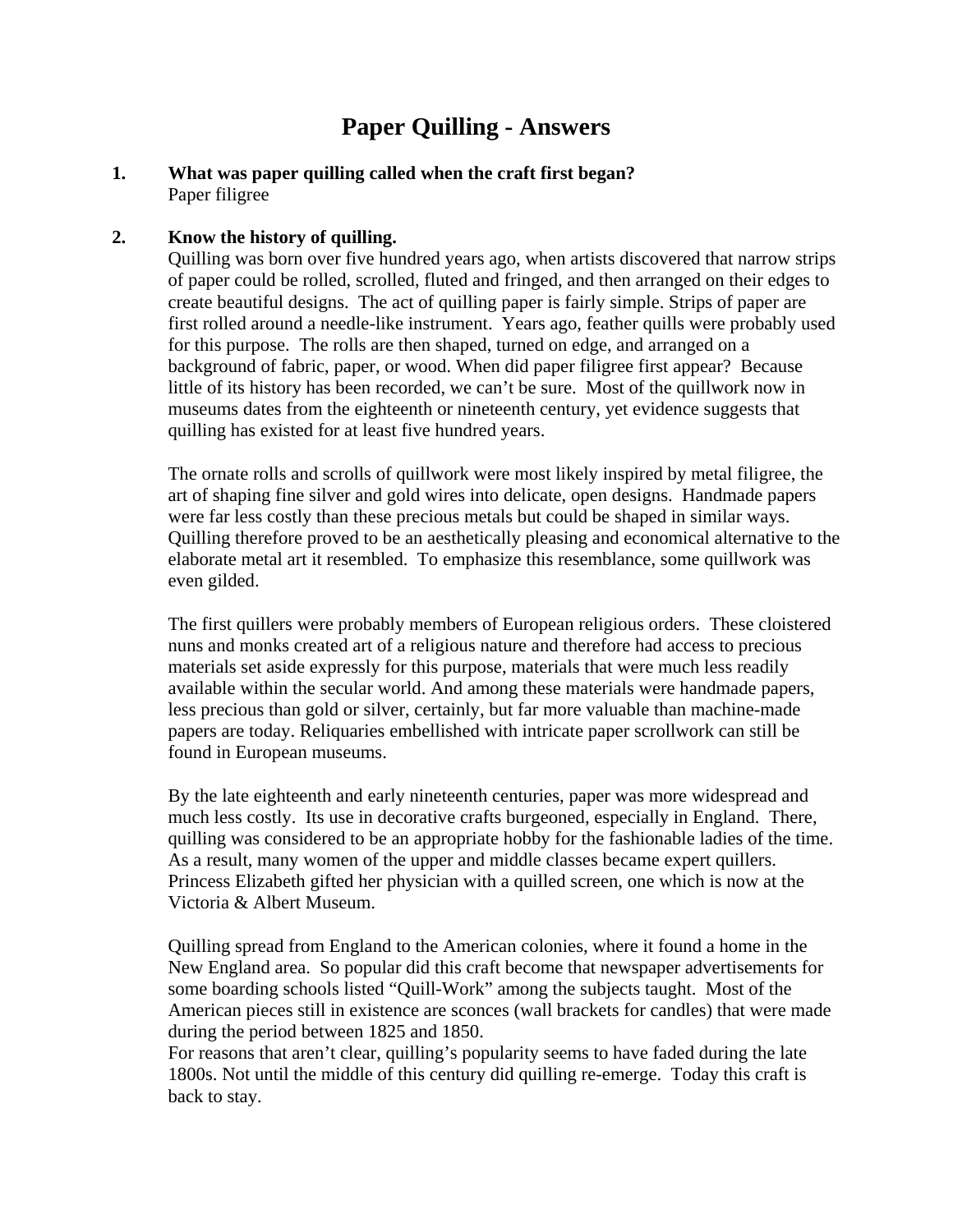# **Paper Quilling - Answers**

#### **1. What was paper quilling called when the craft first began?**  Paper filigree

#### **2. Know the history of quilling.**

Quilling was born over five hundred years ago, when artists discovered that narrow strips of paper could be rolled, scrolled, fluted and fringed, and then arranged on their edges to create beautiful designs. The act of quilling paper is fairly simple. Strips of paper are first rolled around a needle-like instrument. Years ago, feather quills were probably used for this purpose. The rolls are then shaped, turned on edge, and arranged on a background of fabric, paper, or wood. When did paper filigree first appear? Because little of its history has been recorded, we can't be sure. Most of the quillwork now in museums dates from the eighteenth or nineteenth century, yet evidence suggests that quilling has existed for at least five hundred years.

The ornate rolls and scrolls of quillwork were most likely inspired by metal filigree, the art of shaping fine silver and gold wires into delicate, open designs. Handmade papers were far less costly than these precious metals but could be shaped in similar ways. Quilling therefore proved to be an aesthetically pleasing and economical alternative to the elaborate metal art it resembled. To emphasize this resemblance, some quillwork was even gilded.

The first quillers were probably members of European religious orders. These cloistered nuns and monks created art of a religious nature and therefore had access to precious materials set aside expressly for this purpose, materials that were much less readily available within the secular world. And among these materials were handmade papers, less precious than gold or silver, certainly, but far more valuable than machine-made papers are today. Reliquaries embellished with intricate paper scrollwork can still be found in European museums.

By the late eighteenth and early nineteenth centuries, paper was more widespread and much less costly. Its use in decorative crafts burgeoned, especially in England. There, quilling was considered to be an appropriate hobby for the fashionable ladies of the time. As a result, many women of the upper and middle classes became expert quillers. Princess Elizabeth gifted her physician with a quilled screen, one which is now at the Victoria & Albert Museum.

Quilling spread from England to the American colonies, where it found a home in the New England area. So popular did this craft become that newspaper advertisements for some boarding schools listed "Quill-Work" among the subjects taught. Most of the American pieces still in existence are sconces (wall brackets for candles) that were made during the period between 1825 and 1850.

For reasons that aren't clear, quilling's popularity seems to have faded during the late 1800s. Not until the middle of this century did quilling re-emerge. Today this craft is back to stay.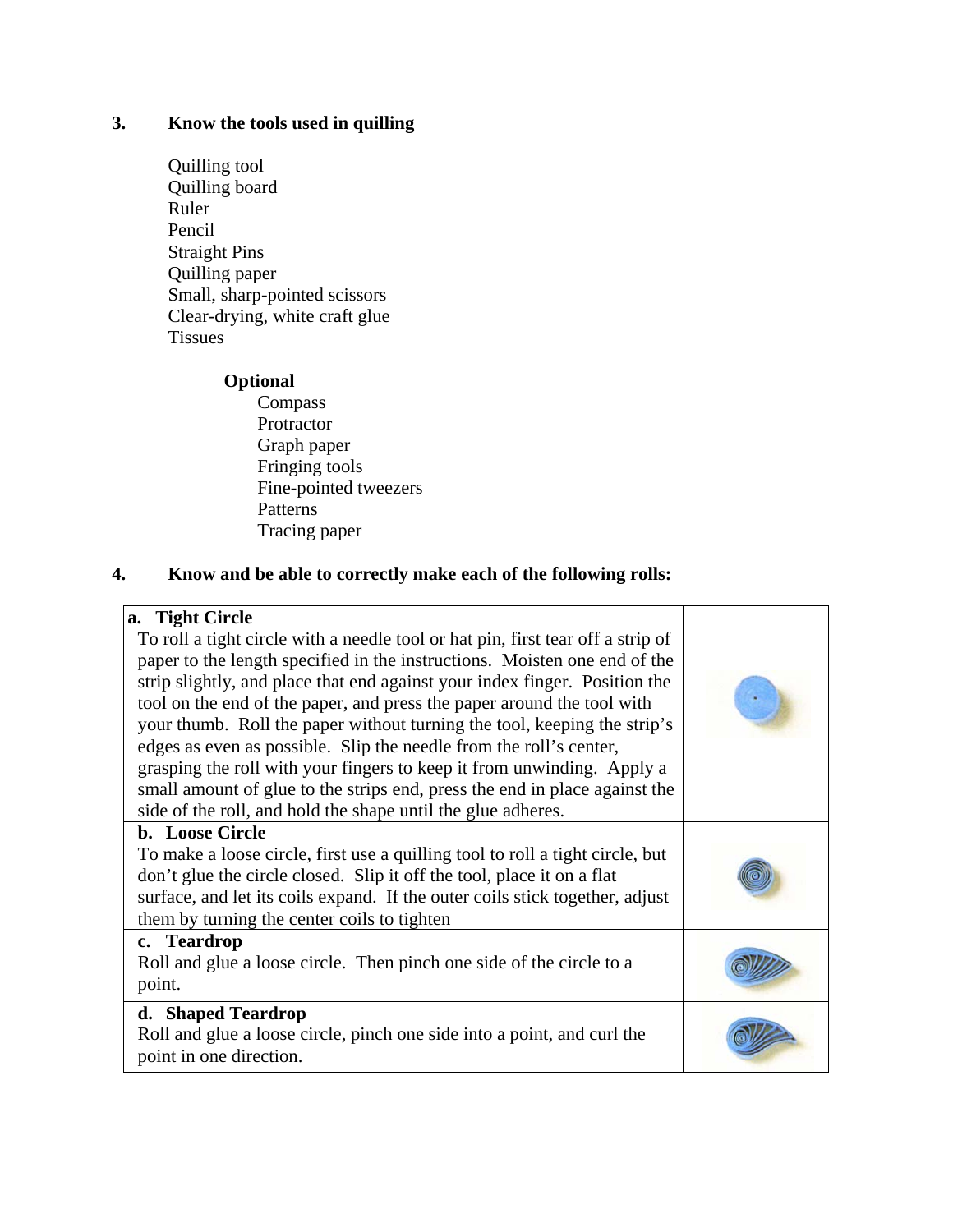## **3. Know the tools used in quilling**

Quilling tool Quilling board Ruler Pencil Straight Pins Quilling paper Small, sharp-pointed scissors Clear-drying, white craft glue Tissues

## **Optional**

Compass Protractor Graph paper Fringing tools Fine-pointed tweezers Patterns Tracing paper

### **4. Know and be able to correctly make each of the following rolls:**

| a. Tight Circle<br>To roll a tight circle with a needle tool or hat pin, first tear off a strip of<br>paper to the length specified in the instructions. Moisten one end of the<br>strip slightly, and place that end against your index finger. Position the<br>tool on the end of the paper, and press the paper around the tool with<br>your thumb. Roll the paper without turning the tool, keeping the strip's<br>edges as even as possible. Slip the needle from the roll's center,<br>grasping the roll with your fingers to keep it from unwinding. Apply a<br>small amount of glue to the strips end, press the end in place against the<br>side of the roll, and hold the shape until the glue adheres. |  |
|-------------------------------------------------------------------------------------------------------------------------------------------------------------------------------------------------------------------------------------------------------------------------------------------------------------------------------------------------------------------------------------------------------------------------------------------------------------------------------------------------------------------------------------------------------------------------------------------------------------------------------------------------------------------------------------------------------------------|--|
| <b>b.</b> Loose Circle<br>To make a loose circle, first use a quilling tool to roll a tight circle, but<br>don't glue the circle closed. Slip it off the tool, place it on a flat<br>surface, and let its coils expand. If the outer coils stick together, adjust<br>them by turning the center coils to tighten                                                                                                                                                                                                                                                                                                                                                                                                  |  |
| c. Teardrop<br>Roll and glue a loose circle. Then pinch one side of the circle to a<br>point.                                                                                                                                                                                                                                                                                                                                                                                                                                                                                                                                                                                                                     |  |
| d. Shaped Teardrop<br>Roll and glue a loose circle, pinch one side into a point, and curl the<br>point in one direction.                                                                                                                                                                                                                                                                                                                                                                                                                                                                                                                                                                                          |  |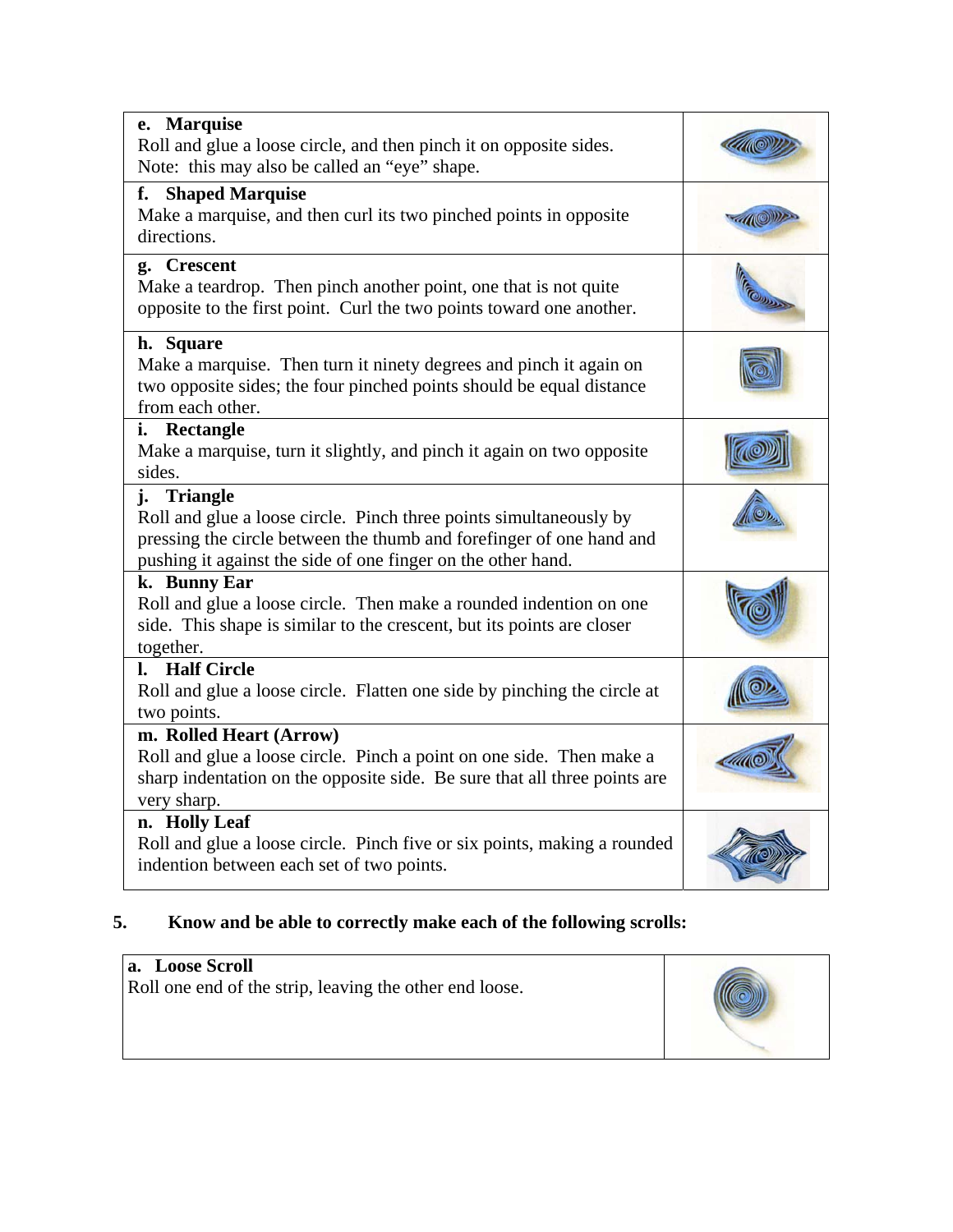| e. Marquise<br>Roll and glue a loose circle, and then pinch it on opposite sides.<br>Note: this may also be called an "eye" shape.                                                                                                  |  |
|-------------------------------------------------------------------------------------------------------------------------------------------------------------------------------------------------------------------------------------|--|
| <b>Shaped Marquise</b><br>f.<br>Make a marquise, and then curl its two pinched points in opposite<br>directions.                                                                                                                    |  |
| g. Crescent<br>Make a teardrop. Then pinch another point, one that is not quite<br>opposite to the first point. Curl the two points toward one another.                                                                             |  |
| h. Square<br>Make a marquise. Then turn it ninety degrees and pinch it again on<br>two opposite sides; the four pinched points should be equal distance<br>from each other.                                                         |  |
| i. Rectangle<br>Make a marquise, turn it slightly, and pinch it again on two opposite<br>sides.                                                                                                                                     |  |
| <b>Triangle</b><br>j.<br>Roll and glue a loose circle. Pinch three points simultaneously by<br>pressing the circle between the thumb and forefinger of one hand and<br>pushing it against the side of one finger on the other hand. |  |
| k. Bunny Ear<br>Roll and glue a loose circle. Then make a rounded indention on one<br>side. This shape is similar to the crescent, but its points are closer<br>together.                                                           |  |
| l. Half Circle<br>Roll and glue a loose circle. Flatten one side by pinching the circle at<br>two points.                                                                                                                           |  |
| m. Rolled Heart (Arrow)<br>Roll and glue a loose circle. Pinch a point on one side. Then make a<br>sharp indentation on the opposite side. Be sure that all three points are<br>very sharp.                                         |  |
| n. Holly Leaf<br>Roll and glue a loose circle. Pinch five or six points, making a rounded<br>indention between each set of two points.                                                                                              |  |

# **5. Know and be able to correctly make each of the following scrolls:**

# **a. Loose Scroll**

Roll one end of the strip, leaving the other end loose.

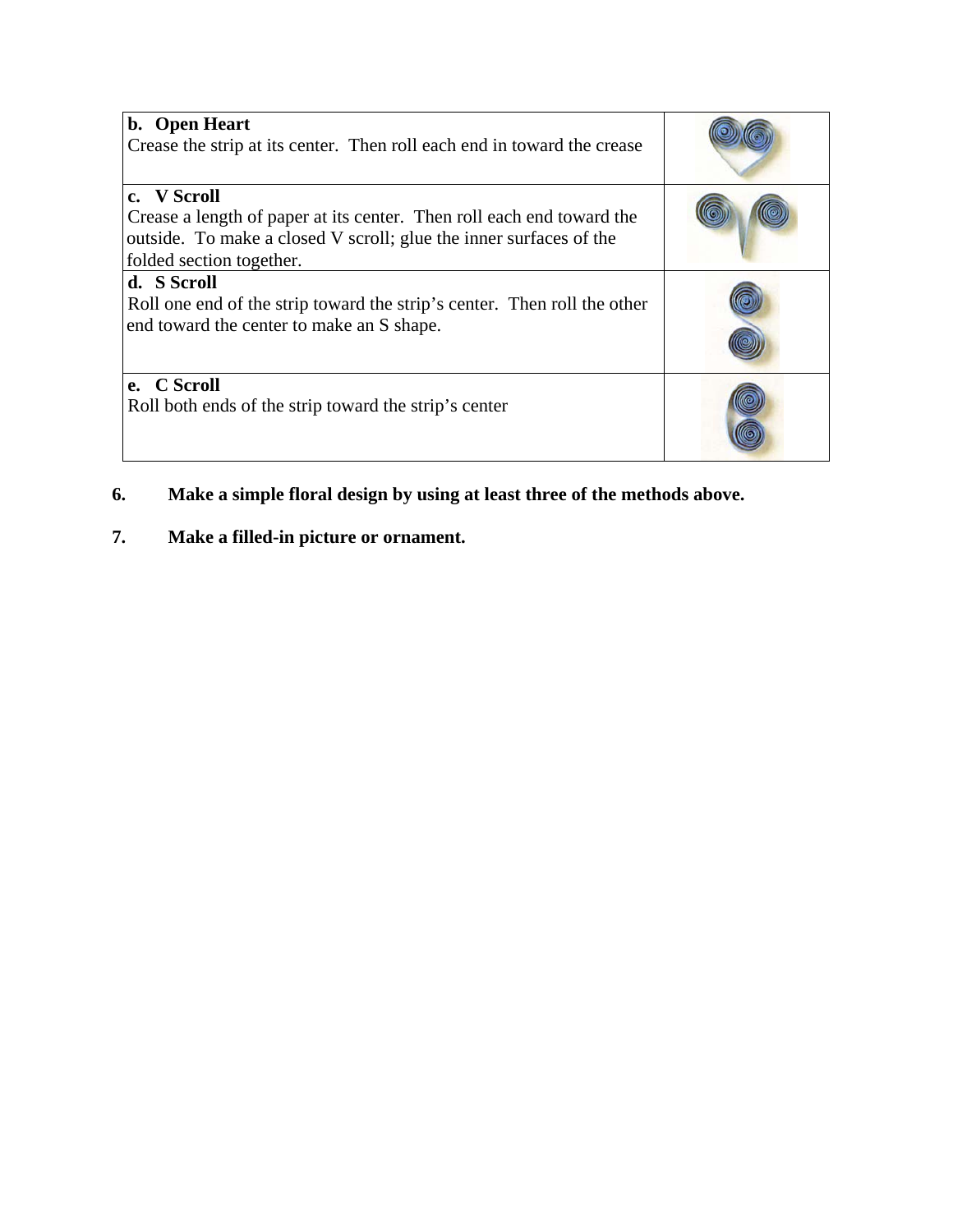| b. Open Heart<br>Crease the strip at its center. Then roll each end in toward the crease                                                                                               |  |
|----------------------------------------------------------------------------------------------------------------------------------------------------------------------------------------|--|
| c. V Scroll<br>Crease a length of paper at its center. Then roll each end toward the<br>outside. To make a closed V scroll; glue the inner surfaces of the<br>folded section together. |  |
| d. S Scroll<br>Roll one end of the strip toward the strip's center. Then roll the other<br>end toward the center to make an S shape.                                                   |  |
| e. C Scroll<br>Roll both ends of the strip toward the strip's center                                                                                                                   |  |

- **6. Make a simple floral design by using at least three of the methods above.**
- **7. Make a filled-in picture or ornament.**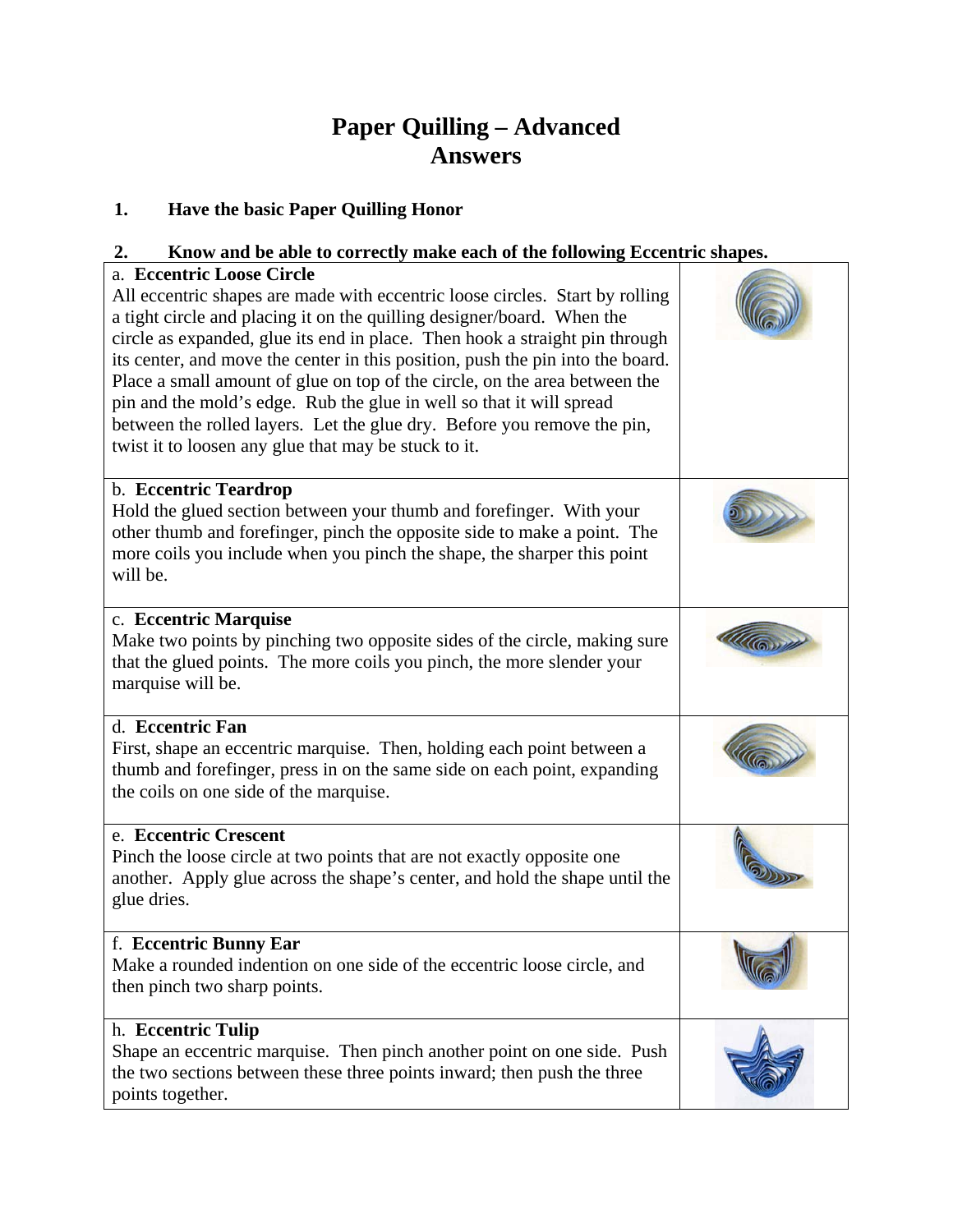# **Paper Quilling – Advanced Answers**

# **1. Have the basic Paper Quilling Honor**

# **2. Know and be able to correctly make each of the following Eccentric shapes.**

| a. Eccentric Loose Circle<br>All eccentric shapes are made with eccentric loose circles. Start by rolling<br>a tight circle and placing it on the quilling designer/board. When the<br>circle as expanded, glue its end in place. Then hook a straight pin through<br>its center, and move the center in this position, push the pin into the board.<br>Place a small amount of glue on top of the circle, on the area between the<br>pin and the mold's edge. Rub the glue in well so that it will spread<br>between the rolled layers. Let the glue dry. Before you remove the pin,<br>twist it to loosen any glue that may be stuck to it. |  |
|-----------------------------------------------------------------------------------------------------------------------------------------------------------------------------------------------------------------------------------------------------------------------------------------------------------------------------------------------------------------------------------------------------------------------------------------------------------------------------------------------------------------------------------------------------------------------------------------------------------------------------------------------|--|
| b. Eccentric Teardrop<br>Hold the glued section between your thumb and forefinger. With your<br>other thumb and forefinger, pinch the opposite side to make a point. The<br>more coils you include when you pinch the shape, the sharper this point<br>will be.                                                                                                                                                                                                                                                                                                                                                                               |  |
| c. Eccentric Marquise<br>Make two points by pinching two opposite sides of the circle, making sure<br>that the glued points. The more coils you pinch, the more slender your<br>marquise will be.                                                                                                                                                                                                                                                                                                                                                                                                                                             |  |
| d. Eccentric Fan<br>First, shape an eccentric marquise. Then, holding each point between a<br>thumb and forefinger, press in on the same side on each point, expanding<br>the coils on one side of the marquise.                                                                                                                                                                                                                                                                                                                                                                                                                              |  |
| e. Eccentric Crescent<br>Pinch the loose circle at two points that are not exactly opposite one<br>another. Apply glue across the shape's center, and hold the shape until the<br>glue dries.                                                                                                                                                                                                                                                                                                                                                                                                                                                 |  |
| f. Eccentric Bunny Ear<br>Make a rounded indention on one side of the eccentric loose circle, and<br>then pinch two sharp points.                                                                                                                                                                                                                                                                                                                                                                                                                                                                                                             |  |
| h. Eccentric Tulip<br>Shape an eccentric marquise. Then pinch another point on one side. Push<br>the two sections between these three points inward; then push the three<br>points together.                                                                                                                                                                                                                                                                                                                                                                                                                                                  |  |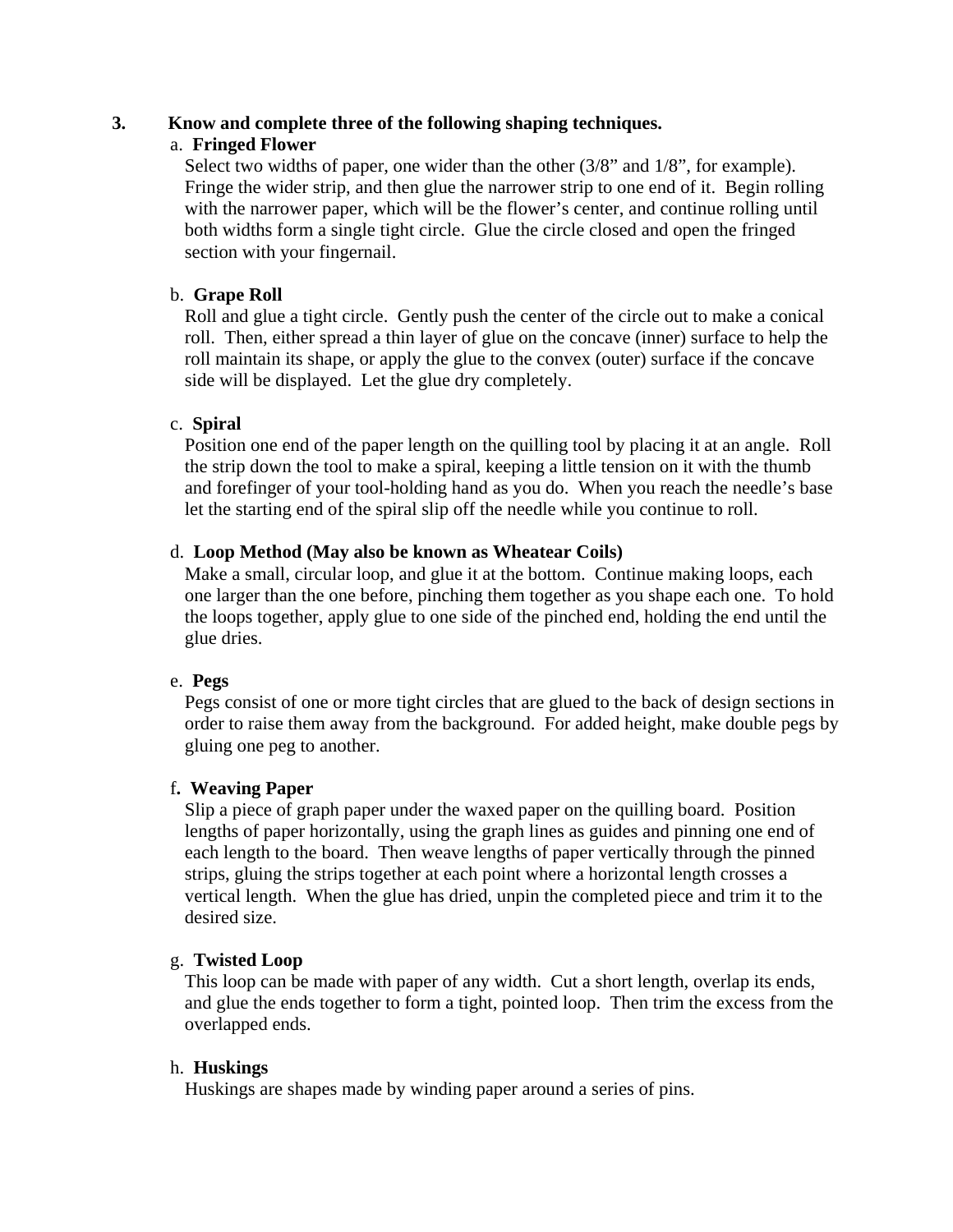#### **3. Know and complete three of the following shaping techniques.**

### a. **Fringed Flower**

Select two widths of paper, one wider than the other  $(3/8)$  and  $1/8$ ", for example). Fringe the wider strip, and then glue the narrower strip to one end of it. Begin rolling with the narrower paper, which will be the flower's center, and continue rolling until both widths form a single tight circle. Glue the circle closed and open the fringed section with your fingernail.

### b. **Grape Roll**

Roll and glue a tight circle. Gently push the center of the circle out to make a conical roll. Then, either spread a thin layer of glue on the concave (inner) surface to help the roll maintain its shape, or apply the glue to the convex (outer) surface if the concave side will be displayed. Let the glue dry completely.

### c. **Spiral**

Position one end of the paper length on the quilling tool by placing it at an angle. Roll the strip down the tool to make a spiral, keeping a little tension on it with the thumb and forefinger of your tool-holding hand as you do. When you reach the needle's base let the starting end of the spiral slip off the needle while you continue to roll.

### d. **Loop Method (May also be known as Wheatear Coils)**

Make a small, circular loop, and glue it at the bottom. Continue making loops, each one larger than the one before, pinching them together as you shape each one. To hold the loops together, apply glue to one side of the pinched end, holding the end until the glue dries.

#### e. **Pegs**

Pegs consist of one or more tight circles that are glued to the back of design sections in order to raise them away from the background. For added height, make double pegs by gluing one peg to another.

### f**. Weaving Paper**

Slip a piece of graph paper under the waxed paper on the quilling board. Position lengths of paper horizontally, using the graph lines as guides and pinning one end of each length to the board. Then weave lengths of paper vertically through the pinned strips, gluing the strips together at each point where a horizontal length crosses a vertical length. When the glue has dried, unpin the completed piece and trim it to the desired size.

#### g. **Twisted Loop**

This loop can be made with paper of any width. Cut a short length, overlap its ends, and glue the ends together to form a tight, pointed loop. Then trim the excess from the overlapped ends.

#### h. **Huskings**

Huskings are shapes made by winding paper around a series of pins.